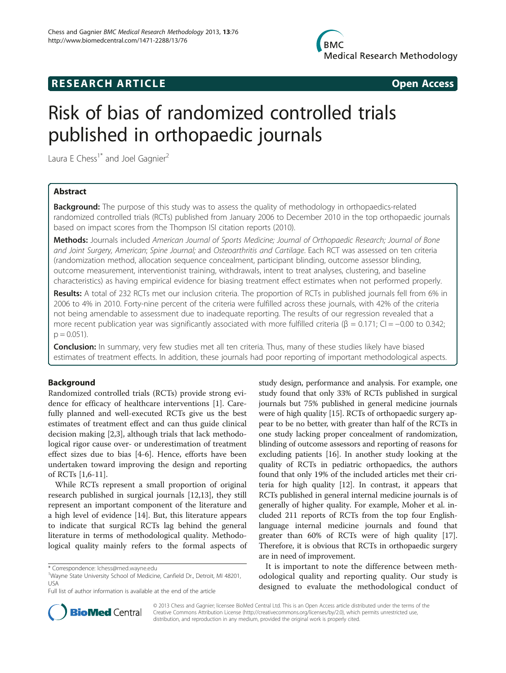# **RESEARCH ARTICLE Example 2014 CONSIDERING CONSIDERING CONSIDERING CONSIDERING CONSIDERING CONSIDERING CONSIDERING CONSIDERING CONSIDERING CONSIDERING CONSIDERING CONSIDERING CONSIDERING CONSIDERING CONSIDERING CONSIDE**

# Risk of bias of randomized controlled trials published in orthopaedic journals

Laura E Chess $1^*$  and Joel Gagnier<sup>2</sup>

# Abstract

**Background:** The purpose of this study was to assess the quality of methodology in orthopaedics-related randomized controlled trials (RCTs) published from January 2006 to December 2010 in the top orthopaedic journals based on impact scores from the Thompson ISI citation reports (2010).

Methods: Journals included American Journal of Sports Medicine; Journal of Orthopaedic Research; Journal of Bone and Joint Surgery, American; Spine Journal; and Osteoarthritis and Cartilage. Each RCT was assessed on ten criteria (randomization method, allocation sequence concealment, participant blinding, outcome assessor blinding, outcome measurement, interventionist training, withdrawals, intent to treat analyses, clustering, and baseline characteristics) as having empirical evidence for biasing treatment effect estimates when not performed properly.

Results: A total of 232 RCTs met our inclusion criteria. The proportion of RCTs in published journals fell from 6% in 2006 to 4% in 2010. Forty-nine percent of the criteria were fulfilled across these journals, with 42% of the criteria not being amendable to assessment due to inadequate reporting. The results of our regression revealed that a more recent publication year was significantly associated with more fulfilled criteria ( $\beta = 0.171$ ; CI = -0.00 to 0.342;  $p = 0.051$ ).

**Conclusion:** In summary, very few studies met all ten criteria. Thus, many of these studies likely have biased estimates of treatment effects. In addition, these journals had poor reporting of important methodological aspects.

# Background

Randomized controlled trials (RCTs) provide strong evidence for efficacy of healthcare interventions [[1\]](#page-8-0). Carefully planned and well-executed RCTs give us the best estimates of treatment effect and can thus guide clinical decision making [[2,3\]](#page-8-0), although trials that lack methodological rigor cause over- or underestimation of treatment effect sizes due to bias [\[4-6\]](#page-8-0). Hence, efforts have been undertaken toward improving the design and reporting of RCTs [\[1,6](#page-8-0)-[11](#page-8-0)].

While RCTs represent a small proportion of original research published in surgical journals [\[12,13\]](#page-8-0), they still represent an important component of the literature and a high level of evidence [[14](#page-8-0)]. But, this literature appears to indicate that surgical RCTs lag behind the general literature in terms of methodological quality. Methodological quality mainly refers to the formal aspects of study design, performance and analysis. For example, one study found that only 33% of RCTs published in surgical journals but 75% published in general medicine journals were of high quality [\[15\]](#page-8-0). RCTs of orthopaedic surgery appear to be no better, with greater than half of the RCTs in one study lacking proper concealment of randomization, blinding of outcome assessors and reporting of reasons for excluding patients [[16](#page-8-0)]. In another study looking at the quality of RCTs in pediatric orthopaedics, the authors found that only 19% of the included articles met their criteria for high quality [[12](#page-8-0)]. In contrast, it appears that RCTs published in general internal medicine journals is of generally of higher quality. For example, Moher et al. included 211 reports of RCTs from the top four Englishlanguage internal medicine journals and found that greater than 60% of RCTs were of high quality [[17](#page-8-0)]. Therefore, it is obvious that RCTs in orthopaedic surgery are in need of improvement.

It is important to note the difference between methodological quality and reporting quality. Our study is designed to evaluate the methodological conduct of



© 2013 Chess and Gagnier; licensee BioMed Central Ltd. This is an Open Access article distributed under the terms of the Creative Commons Attribution License (<http://creativecommons.org/licenses/by/2.0>), which permits unrestricted use, distribution, and reproduction in any medium, provided the original work is properly cited.

<sup>\*</sup> Correspondence: [lchess@med.wayne.edu](mailto:lchess@med.wayne.edu) <sup>1</sup>

<sup>&</sup>lt;sup>1</sup>Wayne State University School of Medicine, Canfield Dr., Detroit, MI 48201, USA

Full list of author information is available at the end of the article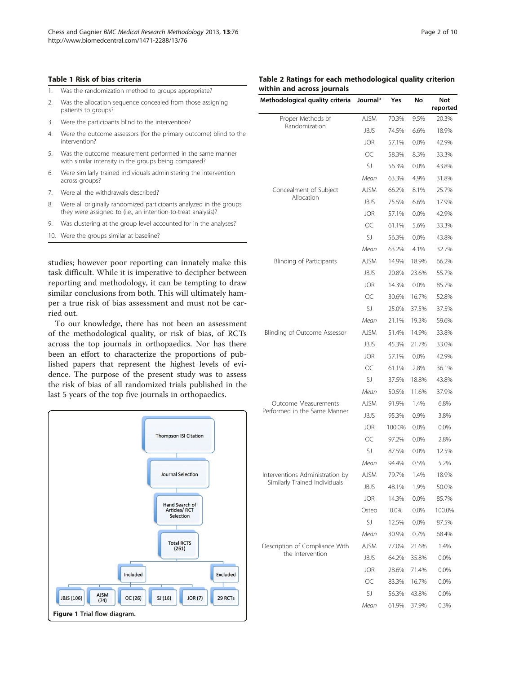#### <span id="page-1-0"></span>Table 1 Risk of bias criteria

- 1. Was the randomization method to groups appropriate?
- 2. Was the allocation sequence concealed from those assigning patients to groups?
- 3. Were the participants blind to the intervention?
- 4. Were the outcome assessors (for the primary outcome) blind to the intervention?
- 5. Was the outcome measurement performed in the same manner with similar intensity in the groups being compared?
- 6. Were similarly trained individuals administering the intervention across groups?
- 7. Were all the withdrawals described?
- 8. Were all originally randomized participants analyzed in the groups they were assigned to (i.e., an intention-to-treat analysis)?
- 9. Was clustering at the group level accounted for in the analyses?
- 10. Were the groups similar at baseline?

studies; however poor reporting can innately make this task difficult. While it is imperative to decipher between reporting and methodology, it can be tempting to draw similar conclusions from both. This will ultimately hamper a true risk of bias assessment and must not be carried out.

To our knowledge, there has not been an assessment of the methodological quality, or risk of bias, of RCTs across the top journals in orthopaedics. Nor has there been an effort to characterize the proportions of published papers that represent the highest levels of evidence. The purpose of the present study was to assess the risk of bias of all randomized trials published in the last 5 years of the top five journals in orthopaedics.



| Page 2 of 10 |  |  |
|--------------|--|--|
|              |  |  |

#### Table 2 Ratings for each methodological quality criterion within and across journals

| ינ ככס והו                      |             |        |         |                 |
|---------------------------------|-------------|--------|---------|-----------------|
| Methodological quality criteria | Journal*    | Yes    | No      | Not<br>reported |
| Proper Methods of               | <b>AJSM</b> | 70.3%  | 9.5%    | 20.3%           |
| Randomization                   | JBJS        | 74.5%  | 6.6%    | 18.9%           |
|                                 | <b>JOR</b>  | 57.1%  | 0.0%    | 42.9%           |
|                                 | ОC          | 58.3%  | 8.3%    | 33.3%           |
|                                 | SJ          | 56.3%  | $0.0\%$ | 43.8%           |
|                                 | Mean        | 63.3%  | 4.9%    | 31.8%           |
| Concealment of Subject          | AJSM        | 66.2%  | 8.1%    | 25.7%           |
| Allocation                      | JBJS        | 75.5%  | 6.6%    | 17.9%           |
|                                 | <b>JOR</b>  | 57.1%  | 0.0%    | 42.9%           |
|                                 | ОC          | 61.1%  | 5.6%    | 33.3%           |
|                                 | SJ          | 56.3%  | $0.0\%$ | 43.8%           |
|                                 | Mean        | 63.2%  | 4.1%    | 32.7%           |
| Blinding of Participants        | <b>AJSM</b> | 14.9%  | 18.9%   | 66.2%           |
|                                 | JBJS        | 20.8%  | 23.6%   | 55.7%           |
|                                 | <b>JOR</b>  | 14.3%  | 0.0%    | 85.7%           |
|                                 | ОC          | 30.6%  | 16.7%   | 52.8%           |
|                                 | SJ          | 25.0%  | 37.5%   | 37.5%           |
|                                 | Mean        | 21.1%  | 19.3%   | 59.6%           |
| Blinding of Outcome Assessor    | AJSM        | 51.4%  | 14.9%   | 33.8%           |
|                                 | JBJS        | 45.3%  | 21.7%   | 33.0%           |
|                                 | <b>JOR</b>  | 57.1%  | 0.0%    | 42.9%           |
|                                 | ОC          | 61.1%  | 2.8%    | 36.1%           |
|                                 | SJ          | 37.5%  | 18.8%   | 43.8%           |
|                                 | Mean        | 50.5%  | 11.6%   | 37.9%           |
| Outcome Measurements            | AJSM        | 91.9%  | 1.4%    | 6.8%            |
| Performed in the Same Manner    | JBJS        | 95.3%  | 0.9%    | 3.8%            |
|                                 | <b>JOR</b>  | 100.0% | $0.0\%$ | $0.0\%$         |
|                                 | ОC          | 97.2%  | 0.0%    | 2.8%            |
|                                 | SJ          | 87.5%  | $0.0\%$ | 12.5%           |
|                                 | Mean        | 94.4%  | 0.5%    | 5.2%            |
| Interventions Administration by | AJSM        | 79.7%  | 1.4%    | 18.9%           |
| Similarly Trained Individuals   | JBJS        | 48.1%  | 1.9%    | 50.0%           |
|                                 | <b>JOR</b>  | 14.3%  | $0.0\%$ | 85.7%           |
|                                 | Osteo       | 0.0%   | 0.0%    | 100.0%          |
|                                 | SJ          | 12.5%  | $0.0\%$ | 87.5%           |
|                                 | Mean        | 30.9%  | 0.7%    | 68.4%           |
| Description of Compliance With  | AJSM        | 77.0%  | 21.6%   | 1.4%            |
| the Intervention                | JBJS        | 64.2%  | 35.8%   | $0.0\%$         |
|                                 | <b>JOR</b>  | 28.6%  | 71.4%   | $0.0\%$         |
|                                 | OC          | 83.3%  | 16.7%   | $0.0\%$         |
|                                 | SJ          | 56.3%  | 43.8%   | $0.0\%$         |
|                                 | Mean        | 61.9%  | 37.9%   | 0.3%            |
|                                 |             |        |         |                 |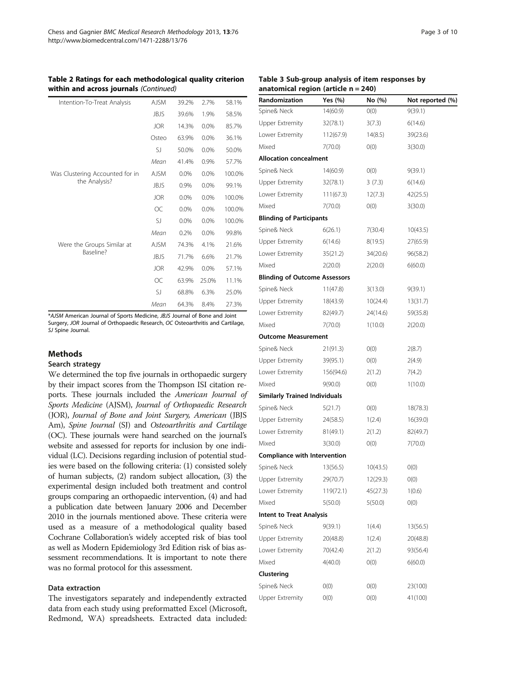<span id="page-2-0"></span>Table 2 Ratings for each methodological quality criterion within and across journals (Continued)

| Intention-To-Treat Analysis     | <b>AJSM</b> | 39.2% | 2.7%  | 58.1%  |
|---------------------------------|-------------|-------|-------|--------|
|                                 | <b>JBJS</b> | 39.6% | 1.9%  | 58.5%  |
|                                 | <b>JOR</b>  | 14.3% | 0.0%  | 85.7%  |
|                                 | Osteo       | 63.9% | 0.0%  | 36.1%  |
|                                 | SJ          | 50.0% | 0.0%  | 50.0%  |
|                                 | Mean        | 41.4% | 0.9%  | 57.7%  |
| Was Clustering Accounted for in | <b>AJSM</b> | 0.0%  | 0.0%  | 100.0% |
| the Analysis?                   | JBJS        | 0.9%  | 0.0%  | 99.1%  |
|                                 | <b>JOR</b>  | 0.0%  | 0.0%  | 100.0% |
|                                 | ОC          | 0.0%  | 0.0%  | 100.0% |
|                                 | SJ          | 0.0%  | 0.0%  | 100.0% |
|                                 | Mean        | 0.2%  | 0.0%  | 99.8%  |
| Were the Groups Similar at      | <b>AJSM</b> | 74.3% | 4.1%  | 21.6%  |
| Baseline?                       | JBJS        | 71.7% | 6.6%  | 21.7%  |
|                                 | <b>JOR</b>  | 42.9% | 0.0%  | 57.1%  |
|                                 | ОC          | 63.9% | 25.0% | 11.1%  |
|                                 | SJ          | 68.8% | 6.3%  | 25.0%  |
|                                 | Mean        | 64.3% | 8.4%  | 27.3%  |

\*AJSM American Journal of Sports Medicine, JBJS Journal of Bone and Joint Surgery, JOR Journal of Orthopaedic Research, OC Osteoarthritis and Cartilage, SJ Spine Journal.

#### Methods

# Search strategy

We determined the top five journals in orthopaedic surgery by their impact scores from the Thompson ISI citation reports. These journals included the American Journal of Sports Medicine (AJSM), Journal of Orthopaedic Research (JOR), Journal of Bone and Joint Surgery, American (JBJS Am), Spine Journal (SJ) and Osteoarthritis and Cartilage (OC). These journals were hand searched on the journal's website and assessed for reports for inclusion by one individual (LC). Decisions regarding inclusion of potential studies were based on the following criteria: (1) consisted solely of human subjects, (2) random subject allocation, (3) the experimental design included both treatment and control groups comparing an orthopaedic intervention, (4) and had a publication date between January 2006 and December 2010 in the journals mentioned above. These criteria were used as a measure of a methodological quality based Cochrane Collaboration's widely accepted risk of bias tool as well as Modern Epidemiology 3rd Edition risk of bias assessment recommendations. It is important to note there was no formal protocol for this assessment.

#### Data extraction

The investigators separately and independently extracted data from each study using preformatted Excel (Microsoft, Redmond, WA) spreadsheets. Extracted data included:

|  |                                     |  | Table 3 Sub-group analysis of item responses by |  |
|--|-------------------------------------|--|-------------------------------------------------|--|
|  | anatomical region (article n = 240) |  |                                                 |  |

| Randomization                        | Yes (%)   | No (%)   | Not reported (%) |
|--------------------------------------|-----------|----------|------------------|
| Spine& Neck                          | 14(60.9)  | O(0)     | 9(39.1)          |
| <b>Upper Extremity</b>               | 32(78.1)  | 3(7.3)   | 6(14.6)          |
| Lower Extremity                      | 112(67.9) | 14(8.5)  | 39(23.6)         |
| Mixed                                | 7(70.0)   | O(0)     | 3(30.0)          |
| <b>Allocation concealment</b>        |           |          |                  |
| Spine& Neck                          | 14(60.9)  | O(0)     | 9(39.1)          |
| <b>Upper Extremity</b>               | 32(78.1)  | 3(7.3)   | 6(14.6)          |
| Lower Extremity                      | 111(67.3) | 12(7.3)  | 42(25.5)         |
| Mixed                                | 7(70.0)   | O(0)     | 3(30.0)          |
| <b>Blinding of Participants</b>      |           |          |                  |
| Spine& Neck                          | 6(26.1)   | 7(30.4)  | 10(43.5)         |
| <b>Upper Extremity</b>               | 6(14.6)   | 8(19.5)  | 27(65.9)         |
| Lower Extremity                      | 35(21.2)  | 34(20.6) | 96(58.2)         |
| Mixed                                | 2(20.0)   | 2(20.0)  | 6(60.0)          |
| <b>Blinding of Outcome Assessors</b> |           |          |                  |
| Spine& Neck                          | 11(47.8)  | 3(13.0)  | 9(39.1)          |
| <b>Upper Extremity</b>               | 18(43.9)  | 10(24.4) | 13(31.7)         |
| Lower Extremity                      | 82(49.7)  | 24(14.6) | 59(35.8)         |
| Mixed                                | 7(70.0)   | 1(10.0)  | 2(20.0)          |
| <b>Outcome Measurement</b>           |           |          |                  |
| Spine& Neck                          | 21(91.3)  | O(0)     | 2(8.7)           |
| <b>Upper Extremity</b>               | 39(95.1)  | O(0)     | 2(4.9)           |
| Lower Extremity                      | 156(94.6) | 2(1.2)   | 7(4.2)           |
| Mixed                                | 9(90.0)   | 0(0)     | 1(10.0)          |
| <b>Similarly Trained Individuals</b> |           |          |                  |
| Spine& Neck                          | 5(21.7)   | O(0)     | 18(78.3)         |
| <b>Upper Extremity</b>               | 24(58.5)  | 1(2.4)   | 16(39.0)         |
| Lower Extremity                      | 81(49.1)  | 2(1.2)   | 82(49.7)         |
| Mixed                                | 3(30.0)   | O(0)     | 7(70.0)          |
| <b>Compliance with Intervention</b>  |           |          |                  |
| Spine& Neck                          | 13(56.5)  | 10(43.5) | O(0)             |
| <b>Upper Extremity</b>               | 29(70.7)  | 12(29.3) | O(0)             |
| Lower Extremity                      | 119(72.1) | 45(27.3) | 1(0.6)           |
| Mixed                                | 5(50.0)   | 5(50.0)  | O(0)             |
| <b>Intent to Treat Analysis</b>      |           |          |                  |
| Spine& Neck                          | 9(39.1)   | 1(4.4)   | 13(56.5)         |
| <b>Upper Extremity</b>               | 20(48.8)  | 1(2.4)   | 20(48.8)         |
| Lower Extremity                      | 70(42.4)  | 2(1.2)   | 93(56.4)         |
| Mixed                                | 4(40.0)   | O(0)     | 6(60.0)          |
| Clustering                           |           |          |                  |
| Spine& Neck                          | O(0)      | O(0)     | 23(100)          |
| <b>Upper Extremity</b>               | O(0)      | O(0)     | 41(100)          |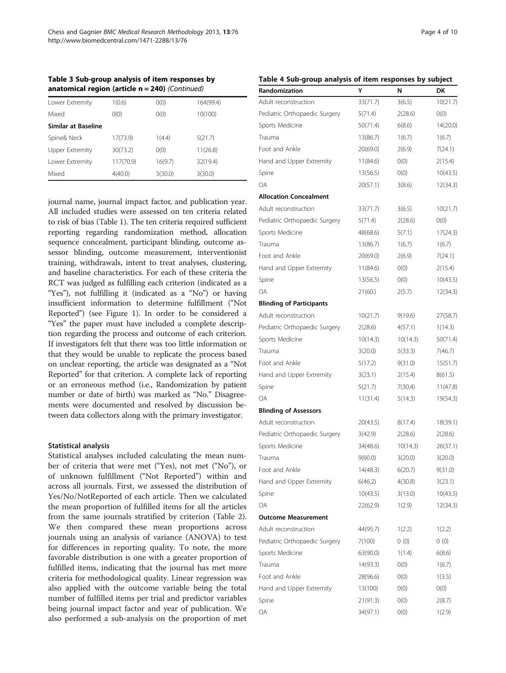<span id="page-3-0"></span>Table 3 Sub-group analysis of item responses by anatomical region (article  $n = 240$ ) (Continued)

| Lower Extremity     | 1(0.6)    | O(0)    | 164(99.4) |
|---------------------|-----------|---------|-----------|
| Mixed               | O(0)      | O(0)    | 10(100)   |
| Similar at Baseline |           |         |           |
| Spine& Neck         | 17(73.9)  | 1(4.4)  | 5(21.7)   |
| Upper Extremity     | 30(73.2)  | O(0)    | 11(26.8)  |
| Lower Extremity     | 117(70.9) | 16(9.7) | 32(19.4)  |
| Mixed               | 4(40.0)   | 3(30.0) | 3(30.0)   |
|                     |           |         |           |

journal name, journal impact factor, and publication year. All included studies were assessed on ten criteria related to risk of bias (Table [1\)](#page-1-0). The ten criteria required sufficient reporting regarding randomization method, allocation sequence concealment, participant blinding, outcome assessor blinding, outcome measurement, interventionist training, withdrawals, intent to treat analyses, clustering, and baseline characteristics. For each of these criteria the RCT was judged as fulfilling each criterion (indicated as a "Yes"), not fulfilling it (indicated as a "No") or having insufficient information to determine fulfillment ("Not Reported") (see Figure [1](#page-1-0)). In order to be considered a "Yes" the paper must have included a complete description regarding the process and outcome of each criterion. If investigators felt that there was too little information or that they would be unable to replicate the process based on unclear reporting, the article was designated as a "Not Reported" for that criterion. A complete lack of reporting or an erroneous method (i.e., Randomization by patient number or date of birth) was marked as "No." Disagreements were documented and resolved by discussion between data collectors along with the primary investigator.

#### Statistical analysis

Statistical analyses included calculating the mean number of criteria that were met ("Yes), not met ("No"), or of unknown fulfillment ("Not Reported") within and across all journals. First, we assessed the distribution of Yes/No/NotReported of each article. Then we calculated the mean proportion of fulfilled items for all the articles from the same journals stratified by criterion (Table [2](#page-1-0)). We then compared these mean proportions across journals using an analysis of variance (ANOVA) to test for differences in reporting quality. To note, the more favorable distribution is one with a greater proportion of fulfilled items, indicating that the journal has met more criteria for methodological quality. Linear regression was also applied with the outcome variable being the total number of fulfilled items per trial and predictor variables being journal impact factor and year of publication. We also performed a sub-analysis on the proportion of met

#### Table 4 Sub-group analysis of item responses by subject

| Adult reconstruction<br>33(71.7)<br>3(6.5)<br>10(21.7)<br>Pediatric Orthopaedic Surgery<br>O(0)<br>5(71.4)<br>2(28.6)<br>Sports Medicine<br>50(71.4)<br>6(8.6)<br>14(20.0)<br>13(86.7)<br>1(6.7)<br>1(6.7)<br>Trauma<br>Foot and Ankle<br>20(69.0)<br>2(6.9)<br>7(24.1)<br>Hand and Upper Extremity<br>11(84.6)<br>O(0)<br>2(15.4)<br>O(0)<br>Spine<br>13(56.5)<br>10(43.5)<br>OA<br>12(34.3)<br>20(57.1)<br>3(8.6)<br><b>Allocation Concealment</b><br>10(21.7)<br>Adult reconstruction<br>33(71.7)<br>3(6.5)<br>2(28.6)<br>Pediatric Orthopaedic Surgery<br>5(71.4)<br>O(0)<br>Sports Medicine<br>48(68.6)<br>5(7.1)<br>17(24.3)<br>13(86.7)<br>1(6.7)<br>Trauma<br>1(6.7)<br>Foot and Ankle<br>20(69.0)<br>2(6.9)<br>7(24.1)<br>Hand and Upper Extremity<br>11(84.6)<br>O(0)<br>2(15.4)<br>Spine<br>O(0)<br>13(56.5)<br>10(43.5)<br>OA<br>12(34.3)<br>21(60.)<br>2(5.7)<br><b>Blinding of Participants</b><br>Adult reconstruction<br>10(21.7)<br>9(19.6)<br>27(58.7)<br>Pediatric Orthopaedic Surgery<br>2(28.6)<br>4(57.1)<br>1(14.3)<br>10(14.3)<br>Sports Medicine<br>10(14.3)<br>50(71.4)<br>3(20.0)<br>7(46.7)<br>Trauma<br>5(33.3)<br>Foot and Ankle<br>5(17.2)<br>9(31.0)<br>15(51.7)<br>Hand and Upper Extremity<br>3(23.1)<br>2(15.4)<br>8(61.5)<br>5(21.7)<br>Spine<br>7(30.4)<br>11(47.8)<br>OA<br>19(54.3)<br>11(31.4)<br>5(14.3)<br><b>Blinding of Assessors</b><br>Adult reconstruction<br>20(43.5)<br>8(17.4)<br>18(39.1)<br>Pediatric Orthopaedic Surgery<br>3(42.9)<br>2(28.6)<br>2(28.6)<br>Sports Medicine<br>34(48.6)<br>10(14.3)<br>26(37.1)<br>9(60.0)<br>3(20.0)<br>3(20.0)<br>Trauma<br>Foot and Ankle<br>14(48.3)<br>6(20.7)<br>9(31.0)<br>Hand and Upper Extremity<br>6(46.2)<br>4(30.8)<br>3(23.1)<br>Spine<br>10(43.5)<br>3(13.0)<br>10(43.5)<br><b>OA</b><br>1(2.9)<br>12(34.3)<br>22(62.9)<br><b>Outcome Measurement</b><br>Adult reconstruction<br>44(95.7)<br>1(2.2)<br>1(2.2)<br>Pediatric Orthopaedic Surgery<br>7(100)<br>0(0)<br>0(0)<br>Sports Medicine<br>63(90.0)<br>1(1.4)<br>6(8.6)<br>Trauma<br>14(93.3)<br>O(0)<br>1(6.7)<br>Foot and Ankle<br>28(96.6)<br>O(0)<br>1(3.5)<br>Hand and Upper Extremity<br>13(100)<br>O(0)<br>O(0)<br>Spine<br>21(91.3)<br>O(0)<br>2(8.7)<br>OA<br>34(97.1)<br>0(0)<br>1(2.9) | Randomization | Υ | N | DK |
|------------------------------------------------------------------------------------------------------------------------------------------------------------------------------------------------------------------------------------------------------------------------------------------------------------------------------------------------------------------------------------------------------------------------------------------------------------------------------------------------------------------------------------------------------------------------------------------------------------------------------------------------------------------------------------------------------------------------------------------------------------------------------------------------------------------------------------------------------------------------------------------------------------------------------------------------------------------------------------------------------------------------------------------------------------------------------------------------------------------------------------------------------------------------------------------------------------------------------------------------------------------------------------------------------------------------------------------------------------------------------------------------------------------------------------------------------------------------------------------------------------------------------------------------------------------------------------------------------------------------------------------------------------------------------------------------------------------------------------------------------------------------------------------------------------------------------------------------------------------------------------------------------------------------------------------------------------------------------------------------------------------------------------------------------------------------------------------------------------------------------------------------------------------------------------------------------------------------------------------------------------|---------------|---|---|----|
|                                                                                                                                                                                                                                                                                                                                                                                                                                                                                                                                                                                                                                                                                                                                                                                                                                                                                                                                                                                                                                                                                                                                                                                                                                                                                                                                                                                                                                                                                                                                                                                                                                                                                                                                                                                                                                                                                                                                                                                                                                                                                                                                                                                                                                                            |               |   |   |    |
|                                                                                                                                                                                                                                                                                                                                                                                                                                                                                                                                                                                                                                                                                                                                                                                                                                                                                                                                                                                                                                                                                                                                                                                                                                                                                                                                                                                                                                                                                                                                                                                                                                                                                                                                                                                                                                                                                                                                                                                                                                                                                                                                                                                                                                                            |               |   |   |    |
|                                                                                                                                                                                                                                                                                                                                                                                                                                                                                                                                                                                                                                                                                                                                                                                                                                                                                                                                                                                                                                                                                                                                                                                                                                                                                                                                                                                                                                                                                                                                                                                                                                                                                                                                                                                                                                                                                                                                                                                                                                                                                                                                                                                                                                                            |               |   |   |    |
|                                                                                                                                                                                                                                                                                                                                                                                                                                                                                                                                                                                                                                                                                                                                                                                                                                                                                                                                                                                                                                                                                                                                                                                                                                                                                                                                                                                                                                                                                                                                                                                                                                                                                                                                                                                                                                                                                                                                                                                                                                                                                                                                                                                                                                                            |               |   |   |    |
|                                                                                                                                                                                                                                                                                                                                                                                                                                                                                                                                                                                                                                                                                                                                                                                                                                                                                                                                                                                                                                                                                                                                                                                                                                                                                                                                                                                                                                                                                                                                                                                                                                                                                                                                                                                                                                                                                                                                                                                                                                                                                                                                                                                                                                                            |               |   |   |    |
|                                                                                                                                                                                                                                                                                                                                                                                                                                                                                                                                                                                                                                                                                                                                                                                                                                                                                                                                                                                                                                                                                                                                                                                                                                                                                                                                                                                                                                                                                                                                                                                                                                                                                                                                                                                                                                                                                                                                                                                                                                                                                                                                                                                                                                                            |               |   |   |    |
|                                                                                                                                                                                                                                                                                                                                                                                                                                                                                                                                                                                                                                                                                                                                                                                                                                                                                                                                                                                                                                                                                                                                                                                                                                                                                                                                                                                                                                                                                                                                                                                                                                                                                                                                                                                                                                                                                                                                                                                                                                                                                                                                                                                                                                                            |               |   |   |    |
|                                                                                                                                                                                                                                                                                                                                                                                                                                                                                                                                                                                                                                                                                                                                                                                                                                                                                                                                                                                                                                                                                                                                                                                                                                                                                                                                                                                                                                                                                                                                                                                                                                                                                                                                                                                                                                                                                                                                                                                                                                                                                                                                                                                                                                                            |               |   |   |    |
|                                                                                                                                                                                                                                                                                                                                                                                                                                                                                                                                                                                                                                                                                                                                                                                                                                                                                                                                                                                                                                                                                                                                                                                                                                                                                                                                                                                                                                                                                                                                                                                                                                                                                                                                                                                                                                                                                                                                                                                                                                                                                                                                                                                                                                                            |               |   |   |    |
|                                                                                                                                                                                                                                                                                                                                                                                                                                                                                                                                                                                                                                                                                                                                                                                                                                                                                                                                                                                                                                                                                                                                                                                                                                                                                                                                                                                                                                                                                                                                                                                                                                                                                                                                                                                                                                                                                                                                                                                                                                                                                                                                                                                                                                                            |               |   |   |    |
|                                                                                                                                                                                                                                                                                                                                                                                                                                                                                                                                                                                                                                                                                                                                                                                                                                                                                                                                                                                                                                                                                                                                                                                                                                                                                                                                                                                                                                                                                                                                                                                                                                                                                                                                                                                                                                                                                                                                                                                                                                                                                                                                                                                                                                                            |               |   |   |    |
|                                                                                                                                                                                                                                                                                                                                                                                                                                                                                                                                                                                                                                                                                                                                                                                                                                                                                                                                                                                                                                                                                                                                                                                                                                                                                                                                                                                                                                                                                                                                                                                                                                                                                                                                                                                                                                                                                                                                                                                                                                                                                                                                                                                                                                                            |               |   |   |    |
|                                                                                                                                                                                                                                                                                                                                                                                                                                                                                                                                                                                                                                                                                                                                                                                                                                                                                                                                                                                                                                                                                                                                                                                                                                                                                                                                                                                                                                                                                                                                                                                                                                                                                                                                                                                                                                                                                                                                                                                                                                                                                                                                                                                                                                                            |               |   |   |    |
|                                                                                                                                                                                                                                                                                                                                                                                                                                                                                                                                                                                                                                                                                                                                                                                                                                                                                                                                                                                                                                                                                                                                                                                                                                                                                                                                                                                                                                                                                                                                                                                                                                                                                                                                                                                                                                                                                                                                                                                                                                                                                                                                                                                                                                                            |               |   |   |    |
|                                                                                                                                                                                                                                                                                                                                                                                                                                                                                                                                                                                                                                                                                                                                                                                                                                                                                                                                                                                                                                                                                                                                                                                                                                                                                                                                                                                                                                                                                                                                                                                                                                                                                                                                                                                                                                                                                                                                                                                                                                                                                                                                                                                                                                                            |               |   |   |    |
|                                                                                                                                                                                                                                                                                                                                                                                                                                                                                                                                                                                                                                                                                                                                                                                                                                                                                                                                                                                                                                                                                                                                                                                                                                                                                                                                                                                                                                                                                                                                                                                                                                                                                                                                                                                                                                                                                                                                                                                                                                                                                                                                                                                                                                                            |               |   |   |    |
|                                                                                                                                                                                                                                                                                                                                                                                                                                                                                                                                                                                                                                                                                                                                                                                                                                                                                                                                                                                                                                                                                                                                                                                                                                                                                                                                                                                                                                                                                                                                                                                                                                                                                                                                                                                                                                                                                                                                                                                                                                                                                                                                                                                                                                                            |               |   |   |    |
|                                                                                                                                                                                                                                                                                                                                                                                                                                                                                                                                                                                                                                                                                                                                                                                                                                                                                                                                                                                                                                                                                                                                                                                                                                                                                                                                                                                                                                                                                                                                                                                                                                                                                                                                                                                                                                                                                                                                                                                                                                                                                                                                                                                                                                                            |               |   |   |    |
|                                                                                                                                                                                                                                                                                                                                                                                                                                                                                                                                                                                                                                                                                                                                                                                                                                                                                                                                                                                                                                                                                                                                                                                                                                                                                                                                                                                                                                                                                                                                                                                                                                                                                                                                                                                                                                                                                                                                                                                                                                                                                                                                                                                                                                                            |               |   |   |    |
|                                                                                                                                                                                                                                                                                                                                                                                                                                                                                                                                                                                                                                                                                                                                                                                                                                                                                                                                                                                                                                                                                                                                                                                                                                                                                                                                                                                                                                                                                                                                                                                                                                                                                                                                                                                                                                                                                                                                                                                                                                                                                                                                                                                                                                                            |               |   |   |    |
|                                                                                                                                                                                                                                                                                                                                                                                                                                                                                                                                                                                                                                                                                                                                                                                                                                                                                                                                                                                                                                                                                                                                                                                                                                                                                                                                                                                                                                                                                                                                                                                                                                                                                                                                                                                                                                                                                                                                                                                                                                                                                                                                                                                                                                                            |               |   |   |    |
|                                                                                                                                                                                                                                                                                                                                                                                                                                                                                                                                                                                                                                                                                                                                                                                                                                                                                                                                                                                                                                                                                                                                                                                                                                                                                                                                                                                                                                                                                                                                                                                                                                                                                                                                                                                                                                                                                                                                                                                                                                                                                                                                                                                                                                                            |               |   |   |    |
|                                                                                                                                                                                                                                                                                                                                                                                                                                                                                                                                                                                                                                                                                                                                                                                                                                                                                                                                                                                                                                                                                                                                                                                                                                                                                                                                                                                                                                                                                                                                                                                                                                                                                                                                                                                                                                                                                                                                                                                                                                                                                                                                                                                                                                                            |               |   |   |    |
|                                                                                                                                                                                                                                                                                                                                                                                                                                                                                                                                                                                                                                                                                                                                                                                                                                                                                                                                                                                                                                                                                                                                                                                                                                                                                                                                                                                                                                                                                                                                                                                                                                                                                                                                                                                                                                                                                                                                                                                                                                                                                                                                                                                                                                                            |               |   |   |    |
|                                                                                                                                                                                                                                                                                                                                                                                                                                                                                                                                                                                                                                                                                                                                                                                                                                                                                                                                                                                                                                                                                                                                                                                                                                                                                                                                                                                                                                                                                                                                                                                                                                                                                                                                                                                                                                                                                                                                                                                                                                                                                                                                                                                                                                                            |               |   |   |    |
|                                                                                                                                                                                                                                                                                                                                                                                                                                                                                                                                                                                                                                                                                                                                                                                                                                                                                                                                                                                                                                                                                                                                                                                                                                                                                                                                                                                                                                                                                                                                                                                                                                                                                                                                                                                                                                                                                                                                                                                                                                                                                                                                                                                                                                                            |               |   |   |    |
|                                                                                                                                                                                                                                                                                                                                                                                                                                                                                                                                                                                                                                                                                                                                                                                                                                                                                                                                                                                                                                                                                                                                                                                                                                                                                                                                                                                                                                                                                                                                                                                                                                                                                                                                                                                                                                                                                                                                                                                                                                                                                                                                                                                                                                                            |               |   |   |    |
|                                                                                                                                                                                                                                                                                                                                                                                                                                                                                                                                                                                                                                                                                                                                                                                                                                                                                                                                                                                                                                                                                                                                                                                                                                                                                                                                                                                                                                                                                                                                                                                                                                                                                                                                                                                                                                                                                                                                                                                                                                                                                                                                                                                                                                                            |               |   |   |    |
|                                                                                                                                                                                                                                                                                                                                                                                                                                                                                                                                                                                                                                                                                                                                                                                                                                                                                                                                                                                                                                                                                                                                                                                                                                                                                                                                                                                                                                                                                                                                                                                                                                                                                                                                                                                                                                                                                                                                                                                                                                                                                                                                                                                                                                                            |               |   |   |    |
|                                                                                                                                                                                                                                                                                                                                                                                                                                                                                                                                                                                                                                                                                                                                                                                                                                                                                                                                                                                                                                                                                                                                                                                                                                                                                                                                                                                                                                                                                                                                                                                                                                                                                                                                                                                                                                                                                                                                                                                                                                                                                                                                                                                                                                                            |               |   |   |    |
|                                                                                                                                                                                                                                                                                                                                                                                                                                                                                                                                                                                                                                                                                                                                                                                                                                                                                                                                                                                                                                                                                                                                                                                                                                                                                                                                                                                                                                                                                                                                                                                                                                                                                                                                                                                                                                                                                                                                                                                                                                                                                                                                                                                                                                                            |               |   |   |    |
|                                                                                                                                                                                                                                                                                                                                                                                                                                                                                                                                                                                                                                                                                                                                                                                                                                                                                                                                                                                                                                                                                                                                                                                                                                                                                                                                                                                                                                                                                                                                                                                                                                                                                                                                                                                                                                                                                                                                                                                                                                                                                                                                                                                                                                                            |               |   |   |    |
|                                                                                                                                                                                                                                                                                                                                                                                                                                                                                                                                                                                                                                                                                                                                                                                                                                                                                                                                                                                                                                                                                                                                                                                                                                                                                                                                                                                                                                                                                                                                                                                                                                                                                                                                                                                                                                                                                                                                                                                                                                                                                                                                                                                                                                                            |               |   |   |    |
|                                                                                                                                                                                                                                                                                                                                                                                                                                                                                                                                                                                                                                                                                                                                                                                                                                                                                                                                                                                                                                                                                                                                                                                                                                                                                                                                                                                                                                                                                                                                                                                                                                                                                                                                                                                                                                                                                                                                                                                                                                                                                                                                                                                                                                                            |               |   |   |    |
|                                                                                                                                                                                                                                                                                                                                                                                                                                                                                                                                                                                                                                                                                                                                                                                                                                                                                                                                                                                                                                                                                                                                                                                                                                                                                                                                                                                                                                                                                                                                                                                                                                                                                                                                                                                                                                                                                                                                                                                                                                                                                                                                                                                                                                                            |               |   |   |    |
|                                                                                                                                                                                                                                                                                                                                                                                                                                                                                                                                                                                                                                                                                                                                                                                                                                                                                                                                                                                                                                                                                                                                                                                                                                                                                                                                                                                                                                                                                                                                                                                                                                                                                                                                                                                                                                                                                                                                                                                                                                                                                                                                                                                                                                                            |               |   |   |    |
|                                                                                                                                                                                                                                                                                                                                                                                                                                                                                                                                                                                                                                                                                                                                                                                                                                                                                                                                                                                                                                                                                                                                                                                                                                                                                                                                                                                                                                                                                                                                                                                                                                                                                                                                                                                                                                                                                                                                                                                                                                                                                                                                                                                                                                                            |               |   |   |    |
|                                                                                                                                                                                                                                                                                                                                                                                                                                                                                                                                                                                                                                                                                                                                                                                                                                                                                                                                                                                                                                                                                                                                                                                                                                                                                                                                                                                                                                                                                                                                                                                                                                                                                                                                                                                                                                                                                                                                                                                                                                                                                                                                                                                                                                                            |               |   |   |    |
|                                                                                                                                                                                                                                                                                                                                                                                                                                                                                                                                                                                                                                                                                                                                                                                                                                                                                                                                                                                                                                                                                                                                                                                                                                                                                                                                                                                                                                                                                                                                                                                                                                                                                                                                                                                                                                                                                                                                                                                                                                                                                                                                                                                                                                                            |               |   |   |    |
|                                                                                                                                                                                                                                                                                                                                                                                                                                                                                                                                                                                                                                                                                                                                                                                                                                                                                                                                                                                                                                                                                                                                                                                                                                                                                                                                                                                                                                                                                                                                                                                                                                                                                                                                                                                                                                                                                                                                                                                                                                                                                                                                                                                                                                                            |               |   |   |    |
|                                                                                                                                                                                                                                                                                                                                                                                                                                                                                                                                                                                                                                                                                                                                                                                                                                                                                                                                                                                                                                                                                                                                                                                                                                                                                                                                                                                                                                                                                                                                                                                                                                                                                                                                                                                                                                                                                                                                                                                                                                                                                                                                                                                                                                                            |               |   |   |    |
|                                                                                                                                                                                                                                                                                                                                                                                                                                                                                                                                                                                                                                                                                                                                                                                                                                                                                                                                                                                                                                                                                                                                                                                                                                                                                                                                                                                                                                                                                                                                                                                                                                                                                                                                                                                                                                                                                                                                                                                                                                                                                                                                                                                                                                                            |               |   |   |    |
|                                                                                                                                                                                                                                                                                                                                                                                                                                                                                                                                                                                                                                                                                                                                                                                                                                                                                                                                                                                                                                                                                                                                                                                                                                                                                                                                                                                                                                                                                                                                                                                                                                                                                                                                                                                                                                                                                                                                                                                                                                                                                                                                                                                                                                                            |               |   |   |    |
|                                                                                                                                                                                                                                                                                                                                                                                                                                                                                                                                                                                                                                                                                                                                                                                                                                                                                                                                                                                                                                                                                                                                                                                                                                                                                                                                                                                                                                                                                                                                                                                                                                                                                                                                                                                                                                                                                                                                                                                                                                                                                                                                                                                                                                                            |               |   |   |    |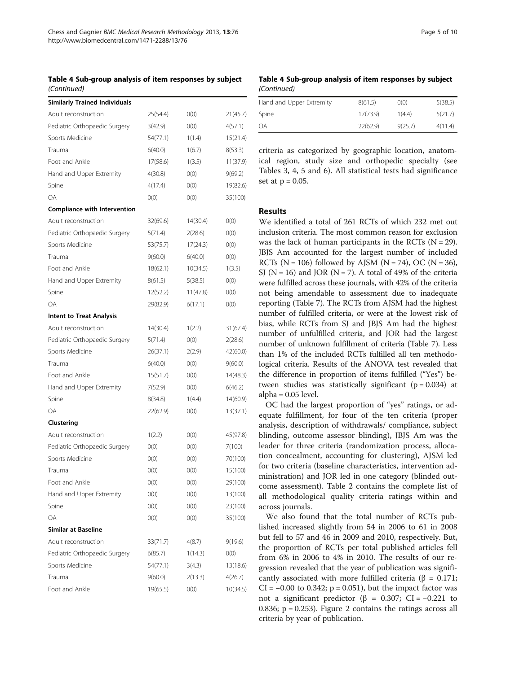Table 4 Sub-group analysis of item responses by subject (Continued)

| <b>Similarly Trained Individuals</b> |          |          |          |
|--------------------------------------|----------|----------|----------|
| Adult reconstruction                 | 25(54.4) | O(0)     | 21(45.7) |
| Pediatric Orthopaedic Surgery        | 3(42.9)  | O(0)     | 4(57.1)  |
| Sports Medicine                      | 54(77.1) | 1(1.4)   | 15(21.4) |
| Trauma                               | 6(40.0)  | 1(6.7)   | 8(53.3)  |
| Foot and Ankle                       | 17(58.6) | 1(3.5)   | 11(37.9) |
| Hand and Upper Extremity             | 4(30.8)  | O(0)     | 9(69.2)  |
| Spine                                | 4(17.4)  | O(0)     | 19(82.6) |
| OA                                   | O(0)     | O(0)     | 35(100)  |
| <b>Compliance with Intervention</b>  |          |          |          |
| Adult reconstruction                 | 32(69.6) | 14(30.4) | O(0)     |
| Pediatric Orthopaedic Surgery        | 5(71.4)  | 2(28.6)  | O(0)     |
| Sports Medicine                      | 53(75.7) | 17(24.3) | O(0)     |
| Trauma                               | 9(60.0)  | 6(40.0)  | O(0)     |
| Foot and Ankle                       | 18(62.1) | 10(34.5) | 1(3.5)   |
| Hand and Upper Extremity             | 8(61.5)  | 5(38.5)  | O(0)     |
| Spine                                | 12(52.2) | 11(47.8) | O(0)     |
| <b>OA</b>                            | 29(82.9) | 6(17.1)  | O(0)     |
| Intent to Treat Analysis             |          |          |          |
| Adult reconstruction                 | 14(30.4) | 1(2.2)   | 31(67.4) |
| Pediatric Orthopaedic Surgery        | 5(71.4)  | O(0)     | 2(28.6)  |
| Sports Medicine                      | 26(37.1) | 2(2.9)   | 42(60.0) |
| Trauma                               | 6(40.0)  | O(0)     | 9(60.0)  |
| Foot and Ankle                       | 15(51.7) | O(0)     | 14(48.3) |
| Hand and Upper Extremity             | 7(52.9)  | O(0)     | 6(46.2)  |
| Spine                                | 8(34.8)  | 1(4.4)   | 14(60.9) |
| OA                                   | 22(62.9) | O(0)     | 13(37.1) |
| Clustering                           |          |          |          |
| Adult reconstruction                 | 1(2.2)   | O(0)     | 45(97.8) |
| Pediatric Orthopaedic Surgery        | O(0)     | O(0)     | 7(100)   |
| Sports Medicine                      | O(0)     | O(0)     | 70(100)  |
| Trauma                               | O(0)     | O(0)     | 15(100)  |
| Foot and Ankle                       | O(0)     | O(0)     | 29(100)  |
| Hand and Upper Extremity             | O(0)     | O(0)     | 13(100)  |
| Spine                                | O(0)     | O(0)     | 23(100)  |
| OA                                   | O(0)     | O(0)     | 35(100)  |
| <b>Similar at Baseline</b>           |          |          |          |
| Adult reconstruction                 | 33(71.7) | 4(8.7)   | 9(19.6)  |
| Pediatric Orthopaedic Surgery        | 6(85.7)  | 1(14.3)  | O(0)     |
| Sports Medicine                      | 54(77.1) | 3(4.3)   | 13(18.6) |
| Trauma                               | 9(60.0)  | 2(13.3)  | 4(26.7)  |
| Foot and Ankle                       | 19(65.5) | O(0)     | 10(34.5) |

Table 4 Sub-group analysis of item responses by subject (Continued)

| Hand and Upper Extremity | 8(61.5)  | O(0)    | 5(38.5) |
|--------------------------|----------|---------|---------|
| Spine                    | 17(73.9) | 1(4.4)  | 5(21.7) |
| ОA                       | 22(62.9) | 9(25.7) | 4(11.4) |

criteria as categorized by geographic location, anatomical region, study size and orthopedic specialty (see Tables [3,](#page-2-0) [4](#page-3-0), [5](#page-5-0) and [6\)](#page-6-0). All statistical tests had significance set at  $p = 0.05$ .

### Results

We identified a total of 261 RCTs of which 232 met out inclusion criteria. The most common reason for exclusion was the lack of human participants in the RCTs  $(N = 29)$ . JBJS Am accounted for the largest number of included RCTs ( $N = 106$ ) followed by AJSM ( $N = 74$ ), OC ( $N = 36$ ), SJ ( $N = 16$ ) and JOR ( $N = 7$ ). A total of 49% of the criteria were fulfilled across these journals, with 42% of the criteria not being amendable to assessment due to inadequate reporting (Table [7](#page-6-0)). The RCTs from AJSM had the highest number of fulfilled criteria, or were at the lowest risk of bias, while RCTs from SJ and JBJS Am had the highest number of unfulfilled criteria, and JOR had the largest number of unknown fulfillment of criteria (Table [7\)](#page-6-0). Less than 1% of the included RCTs fulfilled all ten methodological criteria. Results of the ANOVA test revealed that the difference in proportion of items fulfilled ("Yes") between studies was statistically significant  $(p = 0.034)$  at  $alpha = 0.05$  level.

OC had the largest proportion of "yes" ratings, or adequate fulfillment, for four of the ten criteria (proper analysis, description of withdrawals/ compliance, subject blinding, outcome assessor blinding), JBJS Am was the leader for three criteria (randomization process, allocation concealment, accounting for clustering), AJSM led for two criteria (baseline characteristics, intervention administration) and JOR led in one category (blinded outcome assessment). Table [2](#page-1-0) contains the complete list of all methodological quality criteria ratings within and across journals.

We also found that the total number of RCTs published increased slightly from 54 in 2006 to 61 in 2008 but fell to 57 and 46 in 2009 and 2010, respectively. But, the proportion of RCTs per total published articles fell from 6% in 2006 to 4% in 2010. The results of our regression revealed that the year of publication was significantly associated with more fulfilled criteria ( $\beta = 0.171$ ; CI =  $-0.00$  to 0.342; p = 0.051), but the impact factor was not a significant predictor (β = 0.307; CI = −0.221 to 0.836;  $p = 0.253$ ). Figure [2](#page-7-0) contains the ratings across all criteria by year of publication.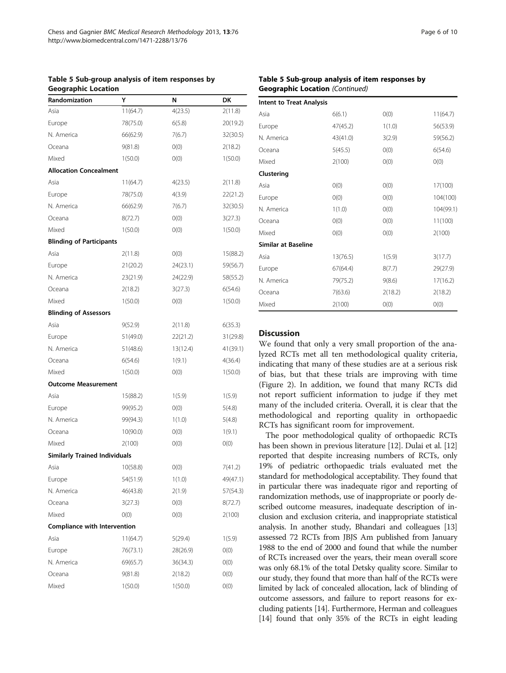<span id="page-5-0"></span>

| Table 5 Sub-group analysis of item responses by |  |  |
|-------------------------------------------------|--|--|
| <b>Geographic Location</b>                      |  |  |

| Randomization                        | Y        | N        | DK       |
|--------------------------------------|----------|----------|----------|
| Asia                                 | 11(64.7) | 4(23.5)  | 2(11.8)  |
| Europe                               | 78(75.0) | 6(5.8)   | 20(19.2) |
| N. America                           | 66(62.9) | 7(6.7)   | 32(30.5) |
| Oceana                               | 9(81.8)  | O(0)     | 2(18.2)  |
| Mixed                                | 1(50.0)  | O(0)     | 1(50.0)  |
| <b>Allocation Concealment</b>        |          |          |          |
| Asia                                 | 11(64.7) | 4(23.5)  | 2(11.8)  |
| Europe                               | 78(75.0) | 4(3.9)   | 22(21.2) |
| N. America                           | 66(62.9) | 7(6.7)   | 32(30.5) |
| Oceana                               | 8(72.7)  | O(0)     | 3(27.3)  |
| Mixed                                | 1(50.0)  | O(0)     | 1(50.0)  |
| <b>Blinding of Participants</b>      |          |          |          |
| Asia                                 | 2(11.8)  | O(0)     | 15(88.2) |
| Europe                               | 21(20.2) | 24(23.1) | 59(56.7) |
| N. America                           | 23(21.9) | 24(22.9) | 58(55.2) |
| Oceana                               | 2(18.2)  | 3(27.3)  | 6(54.6)  |
| Mixed                                | 1(50.0)  | O(0)     | 1(50.0)  |
| <b>Blinding of Assessors</b>         |          |          |          |
| Asia                                 | 9(52.9)  | 2(11.8)  | 6(35.3)  |
| Europe                               | 51(49.0) | 22(21.2) | 31(29.8) |
| N. America                           | 51(48.6) | 13(12.4) | 41(39.1) |
| Oceana                               | 6(54.6)  | 1(9.1)   | 4(36.4)  |
| Mixed                                | 1(50.0)  | O(0)     | 1(50.0)  |
| <b>Outcome Measurement</b>           |          |          |          |
| Asia                                 | 15(88.2) | 1(5.9)   | 1(5.9)   |
| Europe                               | 99(95.2) | O(0)     | 5(4.8)   |
| N. America                           | 99(94.3) | 1(1.0)   | 5(4.8)   |
| Oceana                               | 10(90.0) | O(0)     | 1(9.1)   |
| Mixed                                | 2(100)   | O(0)     | O(0)     |
| <b>Similarly Trained Individuals</b> |          |          |          |
| Asia                                 | 10(58.8) | O(0)     | 7(41.2)  |
| Europe                               | 54(51.9) | 1(1.0)   | 49(47.1) |
| N. America                           | 46(43.8) | 2(1.9)   | 57(54.3) |
| Oceana                               | 3(27.3)  | O(0)     | 8(72.7)  |
| Mixed                                | O(0)     | O(0)     | 2(100)   |
| Compliance with Intervention         |          |          |          |
| Asia                                 | 11(64.7) | 5(29.4)  | 1(5.9)   |
| Europe                               | 76(73.1) | 28(26.9) | O(0)     |
| N. America                           | 69(65.7) | 36(34.3) | O(0)     |
| Oceana                               | 9(81.8)  | 2(18.2)  | O(0)     |
| Mixed                                | 1(50.0)  | 1(50.0)  | O(0)     |

#### Table 5 Sub-group analysis of item responses by Geographic Location (Continued)

| <b>Intent to Treat Analysis</b> |          |         |           |
|---------------------------------|----------|---------|-----------|
| Asia                            | 6(6.1)   | O(0)    | 11(64.7)  |
| Europe                          | 47(45.2) | 1(1.0)  | 56(53.9)  |
| N. America                      | 43(41.0) | 3(2.9)  | 59(56.2)  |
| Oceana                          | 5(45.5)  | O(0)    | 6(54.6)   |
| Mixed                           | 2(100)   | O(0)    | O(0)      |
| Clustering                      |          |         |           |
| Asia                            | O(0)     | O(0)    | 17(100)   |
| Europe                          | O(0)     | O(0)    | 104(100)  |
| N. America                      | 1(1.0)   | O(0)    | 104(99.1) |
| Oceana                          | O(0)     | O(0)    | 11(100)   |
| Mixed                           | O(0)     | O(0)    | 2(100)    |
| <b>Similar at Baseline</b>      |          |         |           |
| Asia                            | 13(76.5) | 1(5.9)  | 3(17.7)   |
| Europe                          | 67(64.4) | 8(7.7)  | 29(27.9)  |
| N. America                      | 79(75.2) | 9(8.6)  | 17(16.2)  |
| Oceana                          | 7(63.6)  | 2(18.2) | 2(18.2)   |
| Mixed                           | 2(100)   | O(0)    | O(0)      |

# **Discussion**

We found that only a very small proportion of the analyzed RCTs met all ten methodological quality criteria, indicating that many of these studies are at a serious risk of bias, but that these trials are improving with time (Figure [2](#page-7-0)). In addition, we found that many RCTs did not report sufficient information to judge if they met many of the included criteria. Overall, it is clear that the methodological and reporting quality in orthopaedic RCTs has significant room for improvement.

The poor methodological quality of orthopaedic RCTs has been shown in previous literature [[12](#page-8-0)]. Dulai et al. [\[12](#page-8-0)] reported that despite increasing numbers of RCTs, only 19% of pediatric orthopaedic trials evaluated met the standard for methodological acceptability. They found that in particular there was inadequate rigor and reporting of randomization methods, use of inappropriate or poorly described outcome measures, inadequate description of inclusion and exclusion criteria, and inappropriate statistical analysis. In another study, Bhandari and colleagues [\[13](#page-8-0)] assessed 72 RCTs from JBJS Am published from January 1988 to the end of 2000 and found that while the number of RCTs increased over the years, their mean overall score was only 68.1% of the total Detsky quality score. Similar to our study, they found that more than half of the RCTs were limited by lack of concealed allocation, lack of blinding of outcome assessors, and failure to report reasons for excluding patients [\[14\]](#page-8-0). Furthermore, Herman and colleagues [[14](#page-8-0)] found that only 35% of the RCTs in eight leading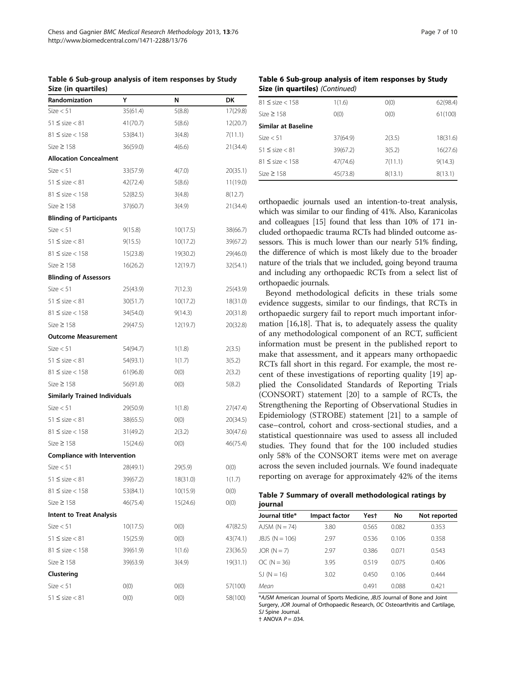<span id="page-6-0"></span>Table 6 Sub-group analysis of item responses by Study Size (in quartiles)

| Randomization                        | Y        | N        | DK       |
|--------------------------------------|----------|----------|----------|
| Size < 51                            | 35(61.4) | 5(8.8)   | 17(29.8) |
| $51 \leq size < 81$                  | 41(70.7) | 5(8.6)   | 12(20.7) |
| $81 \leq size < 158$                 | 53(84.1) | 3(4.8)   | 7(11.1)  |
| Size $≥$ 158                         | 36(59.0) | 4(6.6)   | 21(34.4) |
| <b>Allocation Concealment</b>        |          |          |          |
| Size < 51                            | 33(57.9) | 4(7.0)   | 20(35.1) |
| $51 \leq size < 81$                  | 42(72.4) | 5(8.6)   | 11(19.0) |
| $81 \leq size < 158$                 | 52(82.5) | 3(4.8)   | 8(12.7)  |
| Size $≥$ 158                         | 37(60.7) | 3(4.9)   | 21(34.4) |
| <b>Blinding of Participants</b>      |          |          |          |
| Size < 51                            | 9(15.8)  | 10(17.5) | 38(66.7) |
| $51 \leq size < 81$                  | 9(15.5)  | 10(17.2) | 39(67.2) |
| $81 \leq size < 158$                 | 15(23.8) | 19(30.2) | 29(46.0) |
| Size $≥$ 158                         | 16(26.2) | 12(19.7) | 32(54.1) |
| <b>Blinding of Assessors</b>         |          |          |          |
| Size < 51                            | 25(43.9) | 7(12.3)  | 25(43.9) |
| $51 \leq size < 81$                  | 30(51.7) | 10(17.2) | 18(31.0) |
| $81 \leq size < 158$                 | 34(54.0) | 9(14.3)  | 20(31.8) |
| Size $≥$ 158                         | 29(47.5) | 12(19.7) | 20(32.8) |
| <b>Outcome Measurement</b>           |          |          |          |
| Size < 51                            | 54(94.7) | 1(1.8)   | 2(3.5)   |
| $51 \leq size < 81$                  | 54(93.1) | 1(1.7)   | 3(5.2)   |
| $81 \leq size < 158$                 | 61(96.8) | O(0)     | 2(3.2)   |
| Size $≥$ 158                         | 56(91.8) | O(0)     | 5(8.2)   |
| <b>Similarly Trained Individuals</b> |          |          |          |
| Size < 51                            | 29(50.9) | 1(1.8)   | 27(47.4) |
| $51 \leq size < 81$                  | 38(65.5) | O(0)     | 20(34.5) |
| $81 \leq size < 158$                 | 31(49.2) | 2(3.2)   | 30(47.6) |
| Size $≥$ 158                         | 15(24.6) | O(0)     | 46(75.4) |
| Compliance with Intervention         |          |          |          |
| Size < 51                            | 28(49.1) | 29(5.9)  | O(0)     |
| $51 \leq size < 81$                  | 39(67.2) | 18(31.0) | 1(1.7)   |
| $81 \leq size < 158$                 | 53(84.1) | 10(15.9) | O(0)     |
| Size ≥ 158                           | 46(75.4) | 15(24.6) | O(0)     |
| <b>Intent to Treat Analysis</b>      |          |          |          |
| Size < 51                            | 10(17.5) | O(0)     | 47(82.5) |
| $51 \leq size < 81$                  | 15(25.9) | O(0)     | 43(74.1) |
| $81 \leq size < 158$                 | 39(61.9) | 1(1.6)   | 23(36.5) |
| Size ≥ 158                           | 39(63.9) | 3(4.9)   | 19(31.1) |
| Clustering                           |          |          |          |
| Size < 51                            | O(0)     | O(0)     | 57(100)  |
| $51 \leq size < 81$                  | O(0)     | O(0)     | 58(100)  |

Table 6 Sub-group analysis of item responses by Study Size (in quartiles) (Continued)

| $81 \le$ size $< 158$ | 1(1.6)   | O(0)    | 62(98.4) |
|-----------------------|----------|---------|----------|
| $Size \geq 158$       | O(0)     | O(0)    | 61(100)  |
| Similar at Baseline   |          |         |          |
| Size < 51             | 37(64.9) | 2(3.5)  | 18(31.6) |
| $51 \le$ size $< 81$  | 39(67.2) | 3(5.2)  | 16(27.6) |
| $81 \le$ size $< 158$ | 47(74.6) | 7(11.1) | 9(14.3)  |
| $Size \geq 158$       | 45(73.8) | 8(13.1) | 8(13.1)  |

orthopaedic journals used an intention-to-treat analysis, which was similar to our finding of 41%. Also, Karanicolas and colleagues [\[15\]](#page-8-0) found that less than 10% of 171 included orthopaedic trauma RCTs had blinded outcome assessors. This is much lower than our nearly 51% finding, the difference of which is most likely due to the broader nature of the trials that we included, going beyond trauma and including any orthopaedic RCTs from a select list of orthopaedic journals.

Beyond methodological deficits in these trials some evidence suggests, similar to our findings, that RCTs in orthopaedic surgery fail to report much important information [[16](#page-8-0),[18](#page-8-0)]. That is, to adequately assess the quality of any methodological component of an RCT, sufficient information must be present in the published report to make that assessment, and it appears many orthopaedic RCTs fall short in this regard. For example, the most recent of these investigations of reporting quality [[19\]](#page-8-0) applied the Consolidated Standards of Reporting Trials (CONSORT) statement [[20](#page-8-0)] to a sample of RCTs, the Strengthening the Reporting of Observational Studies in Epidemiology (STROBE) statement [\[21](#page-8-0)] to a sample of case–control, cohort and cross-sectional studies, and a statistical questionnaire was used to assess all included studies. They found that for the 100 included studies only 58% of the CONSORT items were met on average across the seven included journals. We found inadequate reporting on average for approximately 42% of the items

Table 7 Summary of overall methodological ratings by journal

| Journal title*   | Impact factor | Yest  | No    | Not reported |
|------------------|---------------|-------|-------|--------------|
| AJSM $(N = 74)$  | 3.80          | 0.565 | 0.082 | 0.353        |
| $JBJS (N = 106)$ | 2.97          | 0.536 | 0.106 | 0.358        |
| JOR $(N=7)$      | 2.97          | 0.386 | 0.071 | 0.543        |
| $OC (N = 36)$    | 3.95          | 0.519 | 0.075 | 0.406        |
| $J(N = 16)$      | 3.02          | 0.450 | 0.106 | 0.444        |
| Mean             |               | 0.491 | 0.088 | 0.421        |

\*AJSM American Journal of Sports Medicine, JBJS Journal of Bone and Joint Surgery, JOR Journal of Orthopaedic Research, OC Osteoarthritis and Cartilage, SJ Spine Journal.

 $†$  ANOVA  $P = .034$ .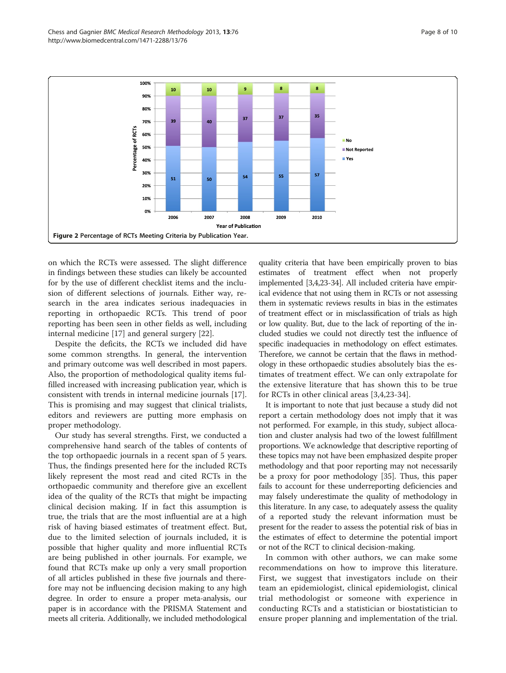<span id="page-7-0"></span>

on which the RCTs were assessed. The slight difference in findings between these studies can likely be accounted for by the use of different checklist items and the inclusion of different selections of journals. Either way, research in the area indicates serious inadequacies in reporting in orthopaedic RCTs. This trend of poor reporting has been seen in other fields as well, including internal medicine [\[17](#page-8-0)] and general surgery [[22\]](#page-8-0).

Despite the deficits, the RCTs we included did have some common strengths. In general, the intervention and primary outcome was well described in most papers. Also, the proportion of methodological quality items fulfilled increased with increasing publication year, which is consistent with trends in internal medicine journals [\[17](#page-8-0)]. This is promising and may suggest that clinical trialists, editors and reviewers are putting more emphasis on proper methodology.

Our study has several strengths. First, we conducted a comprehensive hand search of the tables of contents of the top orthopaedic journals in a recent span of 5 years. Thus, the findings presented here for the included RCTs likely represent the most read and cited RCTs in the orthopaedic community and therefore give an excellent idea of the quality of the RCTs that might be impacting clinical decision making. If in fact this assumption is true, the trials that are the most influential are at a high risk of having biased estimates of treatment effect. But, due to the limited selection of journals included, it is possible that higher quality and more influential RCTs are being published in other journals. For example, we found that RCTs make up only a very small proportion of all articles published in these five journals and therefore may not be influencing decision making to any high degree. In order to ensure a proper meta-analysis, our paper is in accordance with the PRISMA Statement and meets all criteria. Additionally, we included methodological

quality criteria that have been empirically proven to bias estimates of treatment effect when not properly implemented [\[3,4,23](#page-8-0)-[34](#page-9-0)]. All included criteria have empirical evidence that not using them in RCTs or not assessing them in systematic reviews results in bias in the estimates of treatment effect or in misclassification of trials as high or low quality. But, due to the lack of reporting of the included studies we could not directly test the influence of specific inadequacies in methodology on effect estimates. Therefore, we cannot be certain that the flaws in methodology in these orthopaedic studies absolutely bias the estimates of treatment effect. We can only extrapolate for the extensive literature that has shown this to be true for RCTs in other clinical areas [[3,4,23](#page-8-0)-[34](#page-9-0)].

It is important to note that just because a study did not report a certain methodology does not imply that it was not performed. For example, in this study, subject allocation and cluster analysis had two of the lowest fulfillment proportions. We acknowledge that descriptive reporting of these topics may not have been emphasized despite proper methodology and that poor reporting may not necessarily be a proxy for poor methodology [[35](#page-9-0)]. Thus, this paper fails to account for these underreporting deficiencies and may falsely underestimate the quality of methodology in this literature. In any case, to adequately assess the quality of a reported study the relevant information must be present for the reader to assess the potential risk of bias in the estimates of effect to determine the potential import or not of the RCT to clinical decision-making.

In common with other authors, we can make some recommendations on how to improve this literature. First, we suggest that investigators include on their team an epidemiologist, clinical epidemiologist, clinical trial methodologist or someone with experience in conducting RCTs and a statistician or biostatistician to ensure proper planning and implementation of the trial.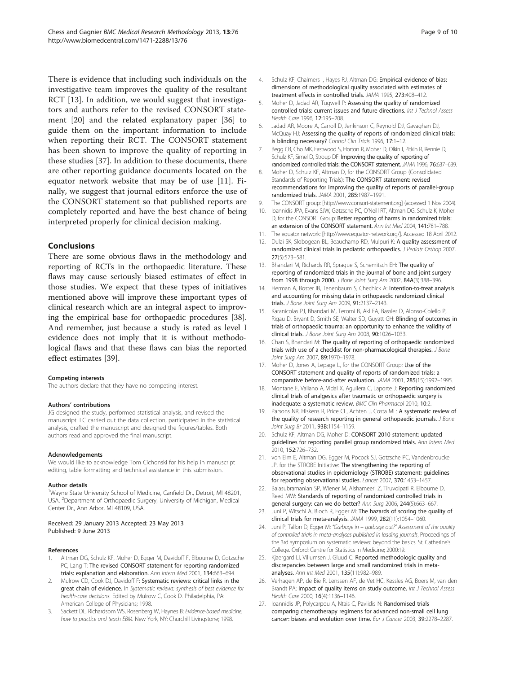<span id="page-8-0"></span>There is evidence that including such individuals on the investigative team improves the quality of the resultant RCT [13]. In addition, we would suggest that investigators and authors refer to the revised CONSORT statement [20] and the related explanatory paper [[36\]](#page-9-0) to guide them on the important information to include when reporting their RCT. The CONSORT statement has been shown to improve the quality of reporting in these studies [[37\]](#page-9-0). In addition to these documents, there are other reporting guidance documents located on the equator network website that may be of use [11]. Finally, we suggest that journal editors enforce the use of the CONSORT statement so that published reports are completely reported and have the best chance of being interpreted properly for clinical decision making.

## Conclusions

There are some obvious flaws in the methodology and reporting of RCTs in the orthopaedic literature. These flaws may cause seriously biased estimates of effect in those studies. We expect that these types of initiatives mentioned above will improve these important types of clinical research which are an integral aspect to improving the empirical base for orthopaedic procedures [\[38](#page-9-0)]. And remember, just because a study is rated as level I evidence does not imply that it is without methodological flaws and that these flaws can bias the reported effect estimates [[39\]](#page-9-0).

#### Competing interests

The authors declare that they have no competing interest.

#### Authors' contributions

JG designed the study, performed statistical analysis, and revised the manuscript. LC carried out the data collection, participated in the statistical analysis, drafted the manuscript and designed the figures/tables. Both authors read and approved the final manuscript.

#### Acknowledgements

We would like to acknowledge Tom Cichonski for his help in manuscript editing, table formatting and technical assistance in this submission.

#### Author details

<sup>1</sup>Wayne State University School of Medicine, Canfield Dr., Detroit, MI 48201, USA. <sup>2</sup> Department of Orthopaedic Surgery, University of Michigan, Medical Center Dr., Ann Arbor, MI 48109, USA.

#### Received: 29 January 2013 Accepted: 23 May 2013 Published: 9 June 2013

#### References

- 1. Altman DG, Schulz KF, Moher D, Egger M, Davidoff F, Elbourne D, Gotzsche PC, Lang T: The revised CONSORT statement for reporting randomized trials: explanation and elaboration. Ann Intern Med 2001, 134:663–694.
- Mulrow CD, Cook DJ, Davidoff F: Systematic reviews: critical links in the great chain of evidence. In Systematic reviews: synthesis of best evidence for health-care decisions. Edited by Mulrow C, Cook D. Philadelphia, PA: American College of Physicians; 1998.
- 3. Sackett DL, Richardsom WS, Rosenberg W, Haynes B: Evidence-based medicine: how to practice and teach EBM. New York, NY: Churchill Livingstone; 1998.
- 4. Schulz KF, Chalmers I, Hayes RJ, Altman DG: Empirical evidence of bias: dimensions of methodological quality associated with estimates of treatment effects in controlled trials. JAMA 1995, 273:408–412.
- 5. Moher D, Jadad AR, Tugwell P: Assessing the quality of randomized controlled trials: current issues and future directions. Int J Technol Assess Health Care 1996, 12:195–208.
- 6. Jadad AR, Moore A, Carroll D, Jenkinson C, Reynold DJ, Gavaghan DJ, McQuay HJ: Assessing the quality of reports of randomized clinical trials: is blinding necessary? Control Clin Trials 1996, 17:1–12.
- 7. Begg CB, Cho MK, Eastwood S, Horton R, Moher D, Olkin I, Pitkin R, Rennie D, Schulz KF, Simel D, Stroup DF: Improving the quality of reporting of randomized controlled trials: the CONSORT statement. JAMA 1996, 76:637–639.
- 8. Moher D, Schulz KF, Altman D, for the CONSORT Group (Consolidated Standards of Reporting Trials): The CONSORT statement: revised recommendations for improving the quality of reports of parallel-group randomized trials. JAMA 2001, 285:1987–1991.
- 9. The CONSORT group: [\[http://www.consort-statement.org\]](http://www.consort-statement.org) (accessed 1 Nov 2004).
- 10. Ioannidis JPA, Evans SJW, Gøtzsche PC, O'Neill RT, Altman DG, Schulz K, Moher D, for the CONSORT Group: Better reporting of harms in randomized trials: an extension of the CONSORT statement. Ann Int Med 2004, 141:781–788.
- 11. The equator network: [\[http://www.equator-network.org/](http://www.equator-network.org/)]. Accessed 18 April 2012.
- 12. Dulai SK, Slobogean BL, Beauchamp RD, Mulpuri K: A quality assessment of randomized clinical trials in pediatric orthopaedics. J Pediatr Orthop 2007, 27(5):573–581.
- 13. Bhandari M, Richards RR, Sprague S, Schemitsch EH: The quality of reporting of randomized trials in the journal of bone and joint surgery from 1998 through 2000. J Bone Joint Surg Am 2002, 84A(3):388–396.
- 14. Herman A, Boster IB, Tenenbaum S, Chechick A: Intention-to-treat analysis and accounting for missing data in orthopaedic randomized clinical trials. J Bone Joint Surg Am 2009, 91:2137–2143.
- 15. Karanicolas PJ, Bhandari M, Teromi B, Akl EA, Bassler D, Alonso-Colello P, Rigau D, Bryant D, Smith SE, Walter SD, Guyatt GH: Blinding of outcomes in trials of orthopaedic trauma: an opportunity to enhance the validity of clinical trials. J Bone Joint Surg Am 2008, 90:1026–1033.
- 16. Chan S, Bhandari M: The quality of reporting of orthopaedic randomized trials with use of a checklist for non-pharmacological therapies. J Bone Joint Surg Am 2007, 89:1970-1978.
- 17. Moher D, Jones A, Lepage L, for the CONSORT Group: Use of the CONSORT statement and quality of reports of randomized trials: a comparative before-and-after evaluation. JAMA 2001, 285(15):1992–1995.
- 18. Montane E, Vallano A, Vidal X, Aquilera C, Laporte J: Reporting randomized clinical trials of analgesics after traumatic or orthopaedic surgery is inadequate: a systematic review. BMC Clin Pharmacol 2010, 10:2.
- 19. Parsons NR, Hiskens R, Price CL, Achten J, Costa ML: A systematic review of the quality of research reporting in general orthopaedic journals. J Bone Joint Sura Br 2011, 93B:1154-1159.
- 20. Schulz KF, Altman DG, Moher D: CONSORT 2010 statement: updated guidelines for reporting parallel group randomized trials. Ann Intern Med 2010, 152:726–732.
- 21. von Elm E, Altman DG, Egger M, Pocock SJ, Gotzsche PC, Vandenbroucke JP, for the STROBE Initiative: The strengthening the reporting of observational studies in epidemiology (STROBE) statement: guidelines for reporting observational studies. Lancet 2007, 370:1453–1457.
- 22. Balasubramanian SP, Wiener M, Alshameeri Z, Tiruvoipati R, Elbourne D, Reed MW: Standards of reporting of randomized controlled trials in general surgery: can we do better? Ann Surg 2006, 244(5):663-667
- 23. Juni P, Witschi A, Bloch R, Egger M: The hazards of scoring the quality of clinical trials for meta-analysis. JAMA 1999, 282(11):1054–1060.
- 24. Juni P, Tallon D, Egger M: "Garbage in garbage out?" Assessment of the quality of controlled trials in meta-analyses published in leading journals, Proceedings of the 3rd symposium on systematic reviews: beyond the basics. St. Catherine's College. Oxford: Centre for Statistics in Medicine; 2000:19.
- 25. Kjaergard LI, Villumsen J, Gluud C: Reported methodologic quality and discrepancies between large and small randomized trials in metaanalyses. Ann Int Med 2001, 135(11):982–989.
- 26. Verhagen AP, de Bie R, Lenssen AF, de Vet HC, Kessles AG, Boers M, van den Brandt PA: Impact of quality items on study outcome. Int J Technol Assess Health Care 2000, 16(4):1136–1146.
- 27. Ioannidis JP, Polycarpou A, Ntais C, Pavlidis N: Randomised trials comparing chemotherapy regimens for advanced non-small cell lung cancer: biases and evolution over time. Eur J Cancer 2003, 39:2278–2287.